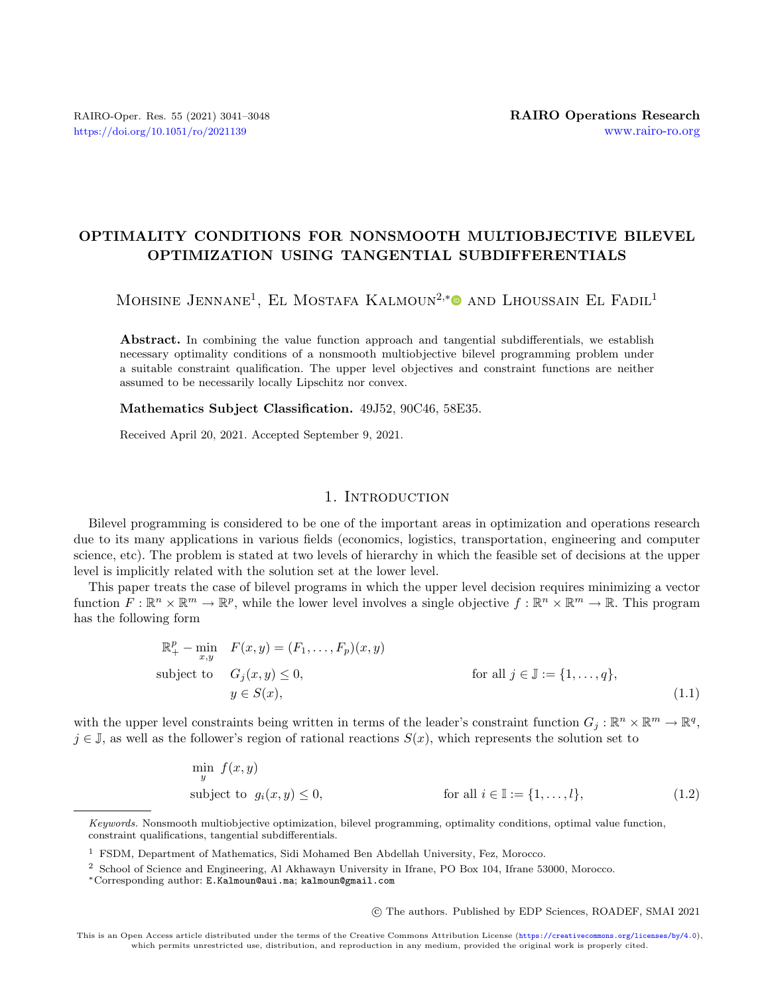## OPTIMALITY CONDITIONS FOR NONSMOOTH MULTIOBJECTIVE BILEVEL OPTIMIZATION USING TANGENTIAL SUBDIFFERENTIALS

MOHSINE JENNANE<sup>1</sup>, EL MOSTAFA KALMOUN<sup>2,[\\*](https://orcid.org/0000-0002-1434-2541)</sup><sup>®</sup> AND LHOUSSAIN EL FADIL<sup>1</sup>

Abstract. In combining the value function approach and tangential subdifferentials, we establish necessary optimality conditions of a nonsmooth multiobjective bilevel programming problem under a suitable constraint qualification. The upper level objectives and constraint functions are neither assumed to be necessarily locally Lipschitz nor convex.

Mathematics Subject Classification. 49J52, 90C46, 58E35.

Received April 20, 2021. Accepted September 9, 2021.

## <span id="page-0-1"></span><span id="page-0-0"></span>1. INTRODUCTION

Bilevel programming is considered to be one of the important areas in optimization and operations research due to its many applications in various fields (economics, logistics, transportation, engineering and computer science, etc). The problem is stated at two levels of hierarchy in which the feasible set of decisions at the upper level is implicitly related with the solution set at the lower level.

This paper treats the case of bilevel programs in which the upper level decision requires minimizing a vector function  $F: \mathbb{R}^n \times \mathbb{R}^m \to \mathbb{R}^p$ , while the lower level involves a single objective  $f: \mathbb{R}^n \times \mathbb{R}^m \to \mathbb{R}$ . This program has the following form

$$
\mathbb{R}_{+}^{p} - \min_{x,y} F(x,y) = (F_1, \dots, F_p)(x,y)
$$
  
subject to  $G_j(x,y) \le 0$ , for all  $j \in \mathbb{J} := \{1, \dots, q\}$ ,  
 $y \in S(x)$ , (1.1)

with the upper level constraints being written in terms of the leader's constraint function  $G_j : \mathbb{R}^n \times \mathbb{R}^m \to \mathbb{R}^q$ ,  $j \in \mathbb{J}$ , as well as the follower's region of rational reactions  $S(x)$ , which represents the solution set to

$$
\min_{y} f(x, y)
$$
\nsubject to  $g_i(x, y) \le 0$ , for all  $i \in \mathbb{I} := \{1, \dots, l\}$ , (1.2)

○c The authors. Published by EDP Sciences, ROADEF, SMAI 2021

Keywords. Nonsmooth multiobjective optimization, bilevel programming, optimality conditions, optimal value function, constraint qualifications, tangential subdifferentials.

<sup>1</sup> FSDM, Department of Mathematics, Sidi Mohamed Ben Abdellah University, Fez, Morocco.

<sup>2</sup> School of Science and Engineering, Al Akhawayn University in Ifrane, PO Box 104, Ifrane 53000, Morocco.

<sup>\*</sup>Corresponding author: [E.Kalmoun@aui.ma](mailto:E.Kalmoun@aui.ma); [kalmoun@gmail.com](mailto:kalmoun@gmail.com)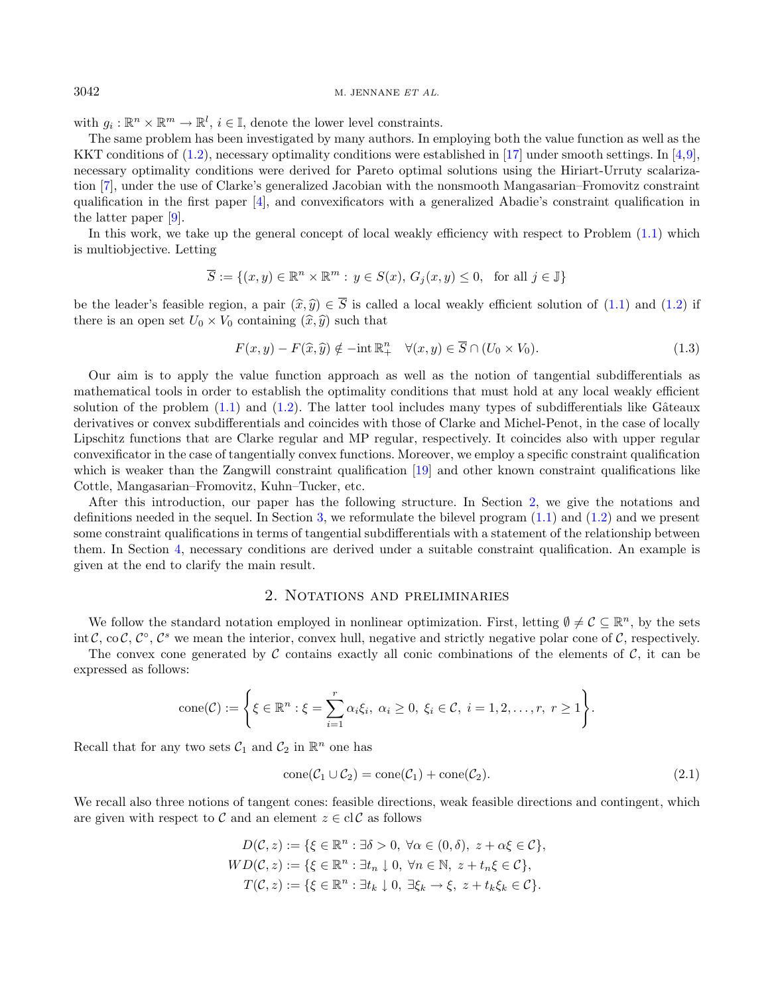## $3042$  M. JENNANE ET AL.

with  $g_i: \mathbb{R}^n \times \mathbb{R}^m \to \mathbb{R}^l$ ,  $i \in \mathbb{I}$ , denote the lower level constraints.

The same problem has been investigated by many authors. In employing both the value function as well as the KKT conditions of [\(1.2\)](#page-0-0), necessary optimality conditions were established in [\[17\]](#page-7-0) under smooth settings. In [\[4,](#page-7-1)[9\]](#page-7-2), necessary optimality conditions were derived for Pareto optimal solutions using the Hiriart-Urruty scalarization [\[7\]](#page-7-3), under the use of Clarke's generalized Jacobian with the nonsmooth Mangasarian–Fromovitz constraint qualification in the first paper [\[4\]](#page-7-1), and convexificators with a generalized Abadie's constraint qualification in the latter paper [\[9\]](#page-7-2).

In this work, we take up the general concept of local weakly efficiency with respect to Problem  $(1.1)$  which is multiobjective. Letting

$$
\overline{S} := \{(x, y) \in \mathbb{R}^n \times \mathbb{R}^m : y \in S(x), G_j(x, y) \le 0, \text{ for all } j \in \mathbb{J}\}
$$

be the leader's feasible region, a pair  $(\hat{x}, \hat{y}) \in \overline{S}$  is called a local weakly efficient solution of [\(1.1\)](#page-0-1) and [\(1.2\)](#page-0-0) if there is an open set  $U_0 \times V_0$  containing  $(\hat{x}, \hat{y})$  such that

$$
F(x,y) - F(\widehat{x},\widehat{y}) \notin -\mathrm{int} \, \mathbb{R}^n_+ \quad \forall (x,y) \in \overline{S} \cap (U_0 \times V_0). \tag{1.3}
$$

Our aim is to apply the value function approach as well as the notion of tangential subdifferentials as mathematical tools in order to establish the optimality conditions that must hold at any local weakly efficient solution of the problem  $(1.1)$  and  $(1.2)$ . The latter tool includes many types of subdifferentials like Gâteaux derivatives or convex subdifferentials and coincides with those of Clarke and Michel-Penot, in the case of locally Lipschitz functions that are Clarke regular and MP regular, respectively. It coincides also with upper regular convexificator in the case of tangentially convex functions. Moreover, we employ a specific constraint qualification which is weaker than the Zangwill constraint qualification [\[19\]](#page-7-4) and other known constraint qualifications like Cottle, Mangasarian–Fromovitz, Kuhn–Tucker, etc.

After this introduction, our paper has the following structure. In Section [2,](#page-1-0) we give the notations and definitions needed in the sequel. In Section [3,](#page-2-0) we reformulate the bilevel program  $(1.1)$  and  $(1.2)$  and we present some constraint qualifications in terms of tangential subdifferentials with a statement of the relationship between them. In Section [4,](#page-3-0) necessary conditions are derived under a suitable constraint qualification. An example is given at the end to clarify the main result.

## <span id="page-1-1"></span>2. Notations and preliminaries

<span id="page-1-0"></span>We follow the standard notation employed in nonlinear optimization. First, letting  $\emptyset \neq C \subseteq \mathbb{R}^n$ , by the sets int C, co C,  $C^{\circ}$ ,  $C^s$  we mean the interior, convex hull, negative and strictly negative polar cone of C, respectively.

The convex cone generated by  $\mathcal C$  contains exactly all conic combinations of the elements of  $\mathcal C$ , it can be expressed as follows:

$$
\text{cone}(\mathcal{C}) := \left\{ \xi \in \mathbb{R}^n : \xi = \sum_{i=1}^r \alpha_i \xi_i, \ \alpha_i \geq 0, \ \xi_i \in \mathcal{C}, \ i = 1, 2, \dots, r, \ r \geq 1 \right\}.
$$

Recall that for any two sets  $C_1$  and  $C_2$  in  $\mathbb{R}^n$  one has

$$
cone(\mathcal{C}_1 \cup \mathcal{C}_2) = cone(\mathcal{C}_1) + cone(\mathcal{C}_2). \tag{2.1}
$$

We recall also three notions of tangent cones: feasible directions, weak feasible directions and contingent, which are given with respect to  $\mathcal C$  and an element  $z \in \text{cl } \mathcal C$  as follows

$$
D(\mathcal{C}, z) := \{ \xi \in \mathbb{R}^n : \exists \delta > 0, \ \forall \alpha \in (0, \delta), \ z + \alpha \xi \in \mathcal{C} \},
$$
  
\n
$$
WD(\mathcal{C}, z) := \{ \xi \in \mathbb{R}^n : \exists t_n \downarrow 0, \ \forall n \in \mathbb{N}, \ z + t_n \xi \in \mathcal{C} \},
$$
  
\n
$$
T(\mathcal{C}, z) := \{ \xi \in \mathbb{R}^n : \exists t_k \downarrow 0, \ \exists \xi_k \to \xi, \ z + t_k \xi_k \in \mathcal{C} \}.
$$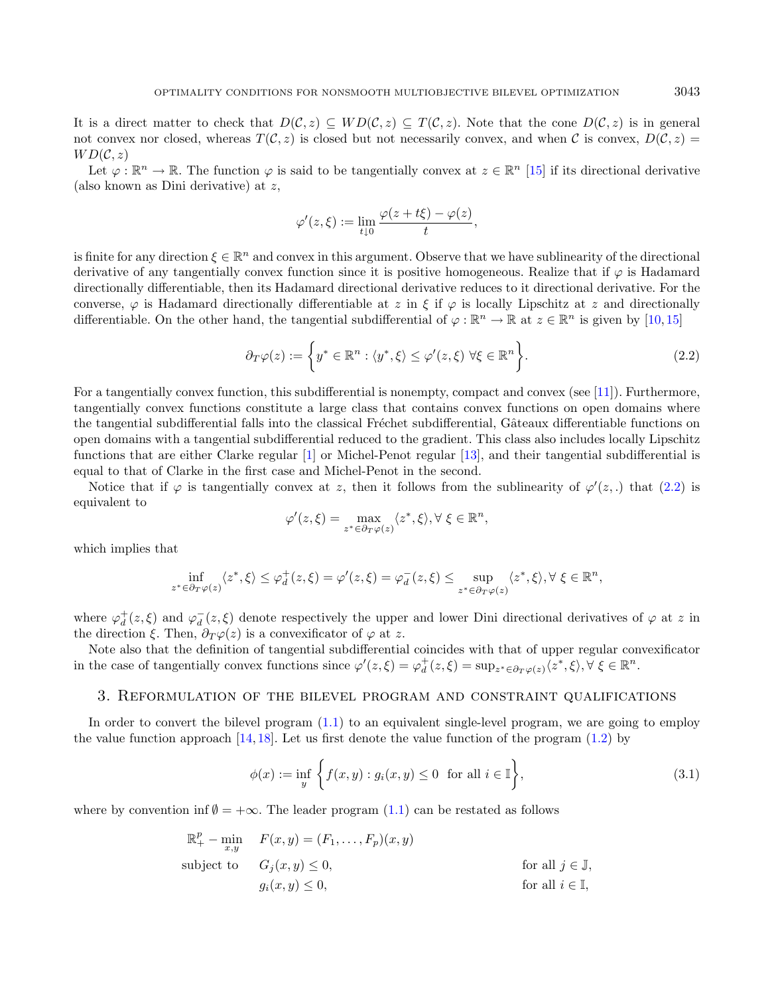It is a direct matter to check that  $D(C, z) \subseteq WD(C, z)$ . Note that the cone  $D(C, z)$  is in general not convex nor closed, whereas  $T(\mathcal{C}, z)$  is closed but not necessarily convex, and when  $\mathcal{C}$  is convex,  $D(\mathcal{C}, z)$  =  $WD(C, z)$ 

Let  $\varphi : \mathbb{R}^n \to \mathbb{R}$ . The function  $\varphi$  is said to be tangentially convex at  $z \in \mathbb{R}^n$  [\[15\]](#page-7-5) if its directional derivative (also known as Dini derivative) at  $z$ ,

<span id="page-2-1"></span>
$$
\varphi'(z,\xi) := \lim_{t \downarrow 0} \frac{\varphi(z + t\xi) - \varphi(z)}{t},
$$

is finite for any direction  $\xi \in \mathbb{R}^n$  and convex in this argument. Observe that we have sublinearity of the directional derivative of any tangentially convex function since it is positive homogeneous. Realize that if  $\varphi$  is Hadamard directionally differentiable, then its Hadamard directional derivative reduces to it directional derivative. For the converse,  $\varphi$  is Hadamard directionally differentiable at z in  $\xi$  if  $\varphi$  is locally Lipschitz at z and directionally differentiable. On the other hand, the tangential subdifferential of  $\varphi : \mathbb{R}^n \to \mathbb{R}$  at  $z \in \mathbb{R}^n$  is given by [\[10,](#page-7-6)[15\]](#page-7-5)

$$
\partial_T \varphi(z) := \left\{ y^* \in \mathbb{R}^n : \langle y^*, \xi \rangle \le \varphi'(z, \xi) \; \forall \xi \in \mathbb{R}^n \right\}.
$$
\n(2.2)

For a tangentially convex function, this subdifferential is nonempty, compact and convex (see [\[11\]](#page-7-7)). Furthermore, tangentially convex functions constitute a large class that contains convex functions on open domains where the tangential subdifferential falls into the classical Fréchet subdifferential, Gâteaux differentiable functions on open domains with a tangential subdifferential reduced to the gradient. This class also includes locally Lipschitz functions that are either Clarke regular [\[1\]](#page-7-8) or Michel-Penot regular [\[13\]](#page-7-9), and their tangential subdifferential is equal to that of Clarke in the first case and Michel-Penot in the second.

Notice that if  $\varphi$  is tangentially convex at z, then it follows from the sublinearity of  $\varphi'(z,.)$  that  $(2.2)$  is equivalent to

$$
\varphi'(z,\xi) = \max_{z^* \in \partial_T \varphi(z)} \langle z^*, \xi \rangle, \forall \xi \in \mathbb{R}^n,
$$

which implies that

$$
\inf_{z^*\in \partial_T\varphi(z)}\langle z^*,\xi\rangle\leq \varphi_d^+(z,\xi)=\varphi'(z,\xi)=\varphi_d^-(z,\xi)\leq \sup_{z^*\in \partial_T\varphi(z)}\langle z^*,\xi\rangle, \forall\ \xi\in\mathbb{R}^n,
$$

where  $\varphi_d^+(z,\xi)$  and  $\varphi_d^-(z,\xi)$  denote respectively the upper and lower Dini directional derivatives of  $\varphi$  at z in the direction  $\xi$ . Then,  $\partial_T \varphi(z)$  is a convexificator of  $\varphi$  at z.

Note also that the definition of tangential subdifferential coincides with that of upper regular convexificator in the case of tangentially convex functions since  $\varphi'(z,\xi) = \varphi_d^+(z,\xi) = \sup_{z^* \in \partial_T \varphi(z)} \langle z^*,\xi \rangle, \forall \xi \in \mathbb{R}^n$ .

### <span id="page-2-0"></span>3. Reformulation of the bilevel program and constraint qualifications

In order to convert the bilevel program (1.[1\)](#page-0-1) to an equivalent single-level program, we are going to employ the value function approach [\[14,](#page-7-10) [18\]](#page-7-11). Let us first denote the value function of the program [\(1.2\)](#page-0-0) by

$$
\phi(x) := \inf_{y} \left\{ f(x, y) : g_i(x, y) \le 0 \text{ for all } i \in \mathbb{I} \right\},\tag{3.1}
$$

where by convention inf  $\emptyset = +\infty$ . The leader program [\(1.1\)](#page-0-1) can be restated as follows

$$
\mathbb{R}_{+}^{p} - \min_{x,y} \quad F(x,y) = (F_1, \ldots, F_p)(x,y)
$$
\nsubject to\n
$$
G_j(x,y) \leq 0,
$$
\nfor all  $j \in \mathbb{J},$ \n
$$
g_i(x,y) \leq 0,
$$
\nfor all  $i \in \mathbb{I},$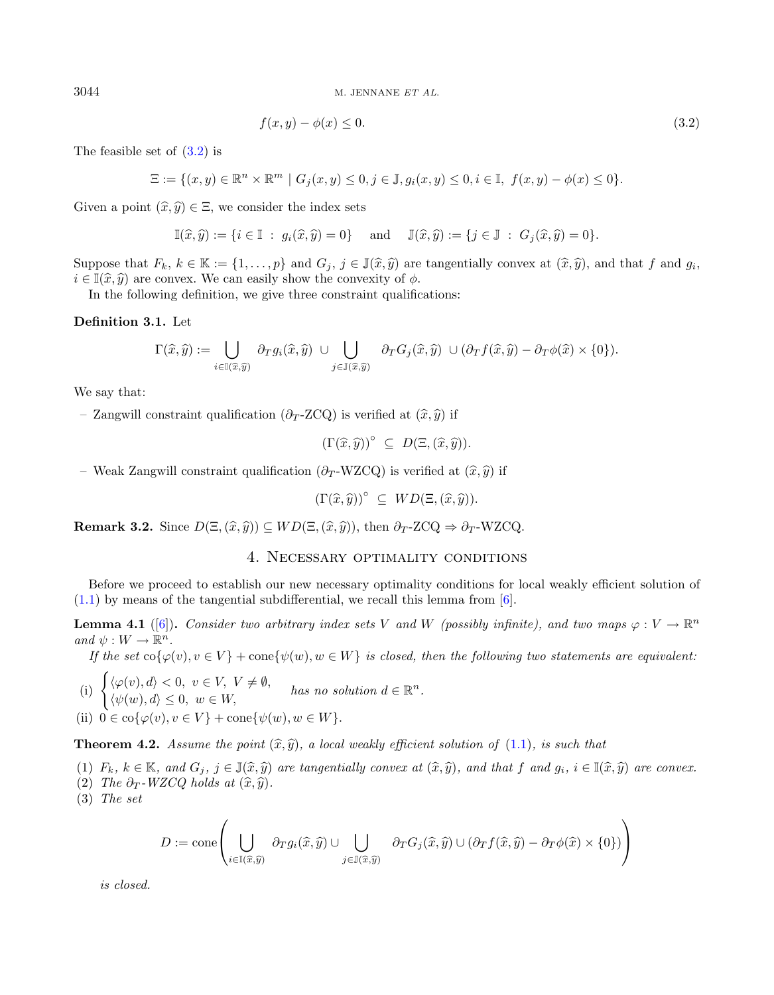$3044$  M. JENNANE ET AL.

<span id="page-3-1"></span>
$$
f(x,y) - \phi(x) \le 0. \tag{3.2}
$$

The feasible set of [\(3.2\)](#page-3-1) is

$$
\Xi := \{(x, y) \in \mathbb{R}^n \times \mathbb{R}^m \mid G_j(x, y) \le 0, j \in \mathbb{J}, g_i(x, y) \le 0, i \in \mathbb{I}, f(x, y) - \phi(x) \le 0\}.
$$

Given a point  $(\widehat{x}, \widehat{y}) \in \Xi$ , we consider the index sets

$$
\mathbb{I}(\widehat{x},\widehat{y}) := \{i \in \mathbb{I} : g_i(\widehat{x},\widehat{y}) = 0\} \text{ and } \mathbb{J}(\widehat{x},\widehat{y}) := \{j \in \mathbb{J} : G_j(\widehat{x},\widehat{y}) = 0\}.
$$

Suppose that  $F_k, k \in \mathbb{K} := \{1, \ldots, p\}$  and  $G_j, j \in \mathbb{J}(\hat{x}, \hat{y})$  are tangentially convex at  $(\hat{x}, \hat{y})$ , and that  $f$  and  $g_i$ ,  $i \in \mathbb{J}(\hat{x}, \hat{y})$  are convex. We can easily show the convexity of  $\phi$ .  $i \in \mathbb{I}(\hat{x}, \hat{y})$  are convex. We can easily show the convexity of  $\phi$ .

In the following definition, we give three constraint qualifications:

#### Definition 3.1. Let

$$
\Gamma(\widehat{x},\widehat{y}) := \bigcup_{i \in \mathbb{I}(\widehat{x},\widehat{y})} \partial_T g_i(\widehat{x},\widehat{y}) \cup \bigcup_{j \in \mathbb{J}(\widehat{x},\widehat{y})} \partial_T G_j(\widehat{x},\widehat{y}) \cup (\partial_T f(\widehat{x},\widehat{y}) - \partial_T \phi(\widehat{x}) \times \{0\}).
$$

We say that:

– Zangwill constraint qualification ( $\partial_T$ -ZCQ) is verified at  $(\hat{x}, \hat{y})$  if

<span id="page-3-2"></span>
$$
(\Gamma(\widehat{x},\widehat{y}))^{\circ} \subseteq D(\Xi,(\widehat{x},\widehat{y})).
$$

– Weak Zangwill constraint qualification ( $\partial_T$ -WZCQ) is verified at  $(\hat{x}, \hat{y})$  if

$$
(\Gamma(\widehat{x},\widehat{y}))^{\circ} \subseteq WD(\Xi,(\widehat{x},\widehat{y})).
$$

<span id="page-3-3"></span><span id="page-3-0"></span>**Remark 3.2.** Since  $D(\Xi, (\hat{x}, \hat{y})) \subseteq WD(\Xi, (\hat{x}, \hat{y}))$ , then  $\partial_T$ -ZCQ  $\Rightarrow \partial_T$ -WZCQ.

## 4. Necessary optimality conditions

Before we proceed to establish our new necessary optimality conditions for local weakly efficient solution of  $(1.1)$  by means of the tangential subdifferential, we recall this lemma from [\[6\]](#page-7-12).

**Lemma 4.1** ([\[6\]](#page-7-12)). Consider two arbitrary index sets V and W (possibly infinite), and two maps  $\varphi: V \to \mathbb{R}^n$ and  $\psi: W \to \mathbb{R}^n$ .

If the set  $\operatorname{co} \{\varphi(v), v \in V\}$  + cone{ $\psi(w), w \in W$ } is closed, then the following two statements are equivalent:

(i)  $\begin{cases} \langle \varphi(v), d \rangle < 0, v \in V, V \neq \emptyset, \\ \langle \psi(v), d \rangle < 0, \end{cases}$  $\langle \varphi(v), u \rangle < 0, v \in V, V \neq \emptyset,$  has no solution  $d \in \mathbb{R}^n$ .<br> $\langle \psi(w), d \rangle \leq 0, w \in W$ ,

(ii)  $0 \in \text{co}\{\varphi(v), v \in V\} + \text{cone}\{\psi(w), w \in W\}.$ 

<span id="page-3-4"></span>**Theorem 4.2.** Assume the point  $(\hat{x}, \hat{y})$ , a local weakly efficient solution of [\(1.1\)](#page-0-1), is such that

(1)  $F_k, k \in \mathbb{K}$ , and  $G_j, j \in \mathbb{J}(\hat{x}, \hat{y})$  are tangentially convex at  $(\hat{x}, \hat{y})$ , and that f and  $g_i, i \in \mathbb{I}(\hat{x}, \hat{y})$  are convex.

(2) The  $\partial_T$ -WZCQ holds at  $(\widehat{x}, \widehat{y})$ .

(3) The set

$$
D := \text{cone}\left(\bigcup_{i \in \mathbb{I}(\widehat{x}, \widehat{y})} \partial_T g_i(\widehat{x}, \widehat{y}) \cup \bigcup_{j \in \mathbb{J}(\widehat{x}, \widehat{y})} \partial_T G_j(\widehat{x}, \widehat{y}) \cup (\partial_T f(\widehat{x}, \widehat{y}) - \partial_T \phi(\widehat{x}) \times \{0\})\right)
$$

is closed.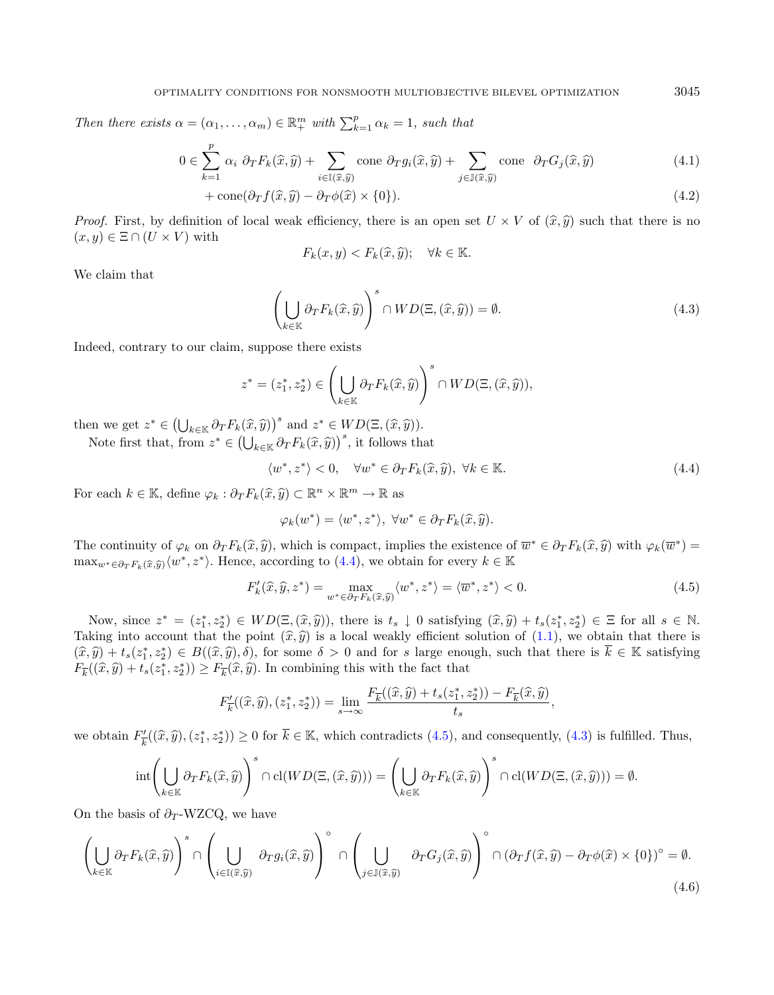Then there exists  $\alpha = (\alpha_1, \dots, \alpha_m) \in \mathbb{R}^m_+$  with  $\sum_{k=1}^p \alpha_k = 1$ , such that

$$
0 \in \sum_{k=1}^{p} \alpha_i \partial_T F_k(\hat{x}, \hat{y}) + \sum_{i \in I(\hat{x}, \hat{y})} \text{cone } \partial_T g_i(\hat{x}, \hat{y}) + \sum_{j \in J(\hat{x}, \hat{y})} \text{cone } \partial_T G_j(\hat{x}, \hat{y}) \tag{4.1}
$$

+ cone
$$
(\partial_T f(\hat{x}, \hat{y}) - \partial_T \phi(\hat{x}) \times \{0\}).
$$
 (4.2)

*Proof.* First, by definition of local weak efficiency, there is an open set  $U \times V$  of  $(\hat{x}, \hat{y})$  such that there is no  $(x, y) \in \Xi \cap (U \times V)$  with

<span id="page-4-1"></span>
$$
F_k(x, y) < F_k(\widehat{x}, \widehat{y}); \quad \forall k \in \mathbb{K}.
$$

We claim that

$$
\left(\bigcup_{k\in\mathbb{K}}\partial_{T}F_{k}(\widehat{x},\widehat{y})\right)^{s}\cap WD(\Xi,(\widehat{x},\widehat{y}))=\emptyset.
$$
\n(4.3)

Indeed, contrary to our claim, suppose there exists

$$
z^* = (z_1^*, z_2^*) \in \left(\bigcup_{k \in \mathbb{K}} \partial_T F_k(\widehat{x}, \widehat{y})\right)^s \cap WD(\Xi, (\widehat{x}, \widehat{y})),
$$

then we get  $z^* \in \left(\bigcup_{k \in \mathbb{K}} \partial_T F_k(\hat{x}, \hat{y})\right)^s$  and  $z^* \in WD(\Xi, (\hat{x}, \hat{y}))$ .

Note first that, from  $z^* \in (\bigcup_{k \in \mathbb{K}} \partial_T F_k(\hat{x}, \hat{y}))^s$ , it follows that

$$
\langle w^*, z^* \rangle < 0, \quad \forall w^* \in \partial_T F_k(\hat{x}, \hat{y}), \ \forall k \in \mathbb{K}.\tag{4.4}
$$

For each  $k \in \mathbb{K}$ , define  $\varphi_k : \partial_T F_k(\widehat{x}, \widehat{y}) \subset \mathbb{R}^n \times \mathbb{R}^m \to \mathbb{R}$  as

<span id="page-4-3"></span>
$$
\varphi_k(w^*) = \langle w^*, z^* \rangle, \ \forall w^* \in \partial_T F_k(\widehat{x}, \widehat{y}).
$$

The continuity of  $\varphi_k$  on  $\partial_T F_k(\hat{x}, \hat{y})$ , which is compact, implies the existence of  $\overline{w}^* \in \partial_T F_k(\hat{x}, \hat{y})$  with  $\varphi_k(\overline{w}^*)$  =  $\max_{w^* \in \partial_T F_k(\widehat{x}, \widehat{y})} \langle w^*, z^* \rangle$ . Hence, according to  $(4.4)$ , we obtain for every  $k \in \mathbb{K}$ 

$$
F'_{k}(\hat{x}, \hat{y}, z^*) = \max_{w^* \in \partial_T F_k(\hat{x}, \hat{y})} \langle w^*, z^* \rangle = \langle \overline{w}^*, z^* \rangle < 0. \tag{4.5}
$$

Now, since  $z^* = (z_1^*, z_2^*) \in WD(\Xi, (\hat{x}, \hat{y}))$ , there is  $t_s \downarrow 0$  satisfying  $(\hat{x}, \hat{y}) + t_s(z_1^*, z_2^*) \in \Xi$  for all  $s \in \mathbb{N}$ .<br>Fing into account that the point  $(\hat{x}, \hat{y})$  is a local workly officient solution of (1,1), we o Taking into account that the point  $(\hat{x}, \hat{y})$  is a local weakly efficient solution of [\(1.1\)](#page-0-1), we obtain that there is  $(\hat{x}, \hat{y}) + t_s(z_1^*, z_2^*) \in B((\hat{x}, \hat{y}), \delta)$ , for some  $\delta > 0$  and for *s* large enough, such that there is  $\overline{k} \in \mathbb{K}$  satisfying  $\overline{k} \in \mathbb{K}$  satisfying  $F_{\overline{k}}((\widehat{x}, \widehat{y}) + t_s(z_1^*, z_2^*)) \ge F_{\overline{k}}(\widehat{x}, \widehat{y}).$  In combining this with the fact that

$$
F'_{\overline{k}}((\widehat{x},\widehat{y}),(z_1^*,z_2^*))=\lim_{s\to\infty}\frac{F_{\overline{k}}((\widehat{x},\widehat{y})+t_s(z_1^*,z_2^*))-F_{\overline{k}}(\widehat{x},\widehat{y})}{t_s},
$$

we obtain  $F'_{\overline{i}}$  $(\hat{x}, \hat{y}), (z_1^*, z_2^*)) \ge 0$  for  $\overline{k} \in \mathbb{K}$ , which contradicts  $(4.5)$ , and consequently,  $(4.3)$  is fulfilled. Thus,

$$
\mathrm{int}\left(\bigcup_{k\in\mathbb{K}}\partial_{T}F_{k}(\widehat{x},\widehat{y})\right)^{s}\cap\mathrm{cl}(WD(\Xi,(\widehat{x},\widehat{y})))=\left(\bigcup_{k\in\mathbb{K}}\partial_{T}F_{k}(\widehat{x},\widehat{y})\right)^{s}\cap\mathrm{cl}(WD(\Xi,(\widehat{x},\widehat{y})))=\emptyset.
$$

On the basis of  $\partial_T$ -WZCQ, we have

$$
\left(\bigcup_{k\in\mathbb{K}}\partial_{T}F_{k}(\hat{x},\hat{y})\right)^{s}\cap\left(\bigcup_{i\in\mathbb{I}(\hat{x},\hat{y})}\partial_{T}g_{i}(\hat{x},\hat{y})\right)^{\circ}\cap\left(\bigcup_{j\in\mathbb{J}(\hat{x},\hat{y})}\partial_{T}G_{j}(\hat{x},\hat{y})\right)^{\circ}\cap\left(\partial_{T}f(\hat{x},\hat{y})-\partial_{T}\phi(\hat{x})\times\{0\}\right)^{\circ}=\emptyset.
$$
\n(4.6)

<span id="page-4-2"></span><span id="page-4-0"></span>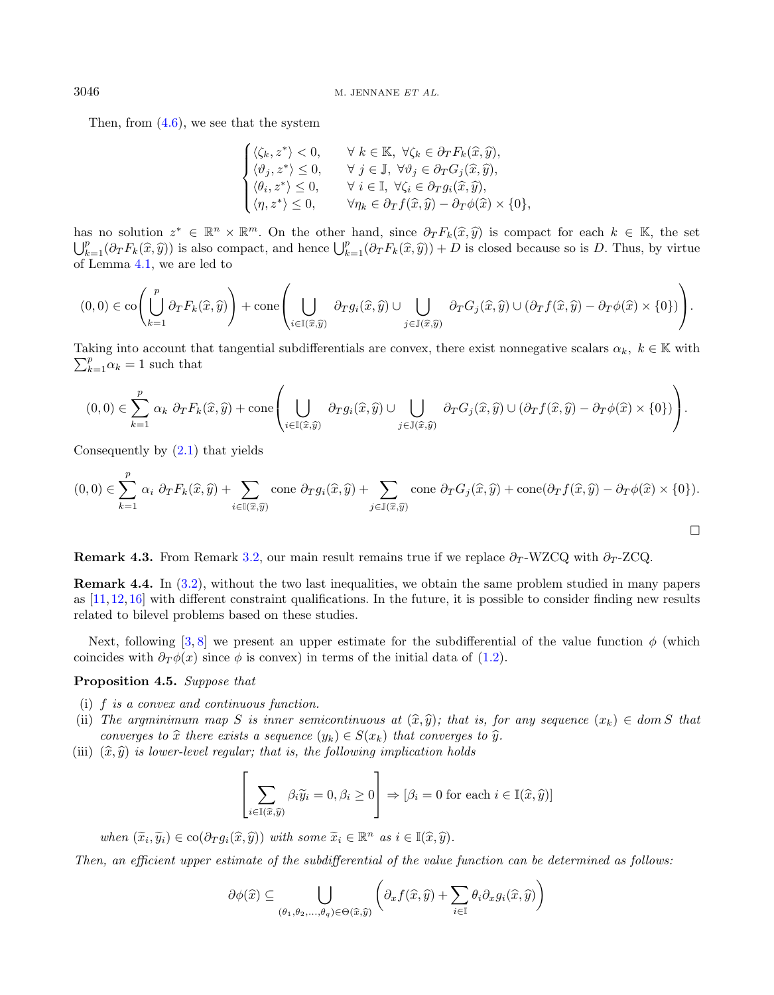Then, from  $(4.6)$ , we see that the system

$$
\begin{cases} \langle \zeta_k, z^* \rangle < 0, & \forall \ k \in \mathbb{K}, \ \forall \zeta_k \in \partial_T F_k(\hat{x}, \hat{y}), \\ \langle \vartheta_j, z^* \rangle < 0, & \forall \ j \in \mathbb{J}, \ \forall \vartheta_j \in \partial_T G_j(\hat{x}, \hat{y}), \\ \langle \theta_i, z^* \rangle < 0, & \forall \ i \in \mathbb{I}, \ \forall \zeta_i \in \partial_T g_i(\hat{x}, \hat{y}), \\ \langle \eta, z^* \rangle < 0, & \forall \eta_k \in \partial_T f(\hat{x}, \hat{y}) - \partial_T \phi(\hat{x}) \times \{0\}, \end{cases}
$$

has no solution  $z^* \in \mathbb{R}^n \times \mathbb{R}^m$ . On the other hand, since  $\partial_T F_k(\hat{x}, \hat{y})$  is compact for each  $k \in \mathbb{K}$ , the set  $\mathbb{R}^p$  ( $\partial_{\overline{x}} F_k(\hat{x}, \hat{y})$ ) is  $\partial_{\overline{x}} F_k(\hat{x}, \hat{y})$  is closed because so is D. Thus, by  $\bigcup_{k=1}^p (\partial_T F_k(\hat{x}, \hat{y}))$  is also compact, and hence  $\bigcup_{k=1}^p (\partial_T F_k(\hat{x}, \hat{y})) + D$  is closed because so is D. Thus, by virtue of Lemma [4.1,](#page-3-2) we are led to

$$
(0,0) \in \text{co}\left(\bigcup_{k=1}^p \partial_T F_k(\widehat{x},\widehat{y})\right) + \text{cone}\left(\bigcup_{i\in\mathbb{I}(\widehat{x},\widehat{y})} \partial_T g_i(\widehat{x},\widehat{y}) \cup \bigcup_{j\in\mathbb{J}(\widehat{x},\widehat{y})} \partial_T G_j(\widehat{x},\widehat{y}) \cup (\partial_T f(\widehat{x},\widehat{y}) - \partial_T \phi(\widehat{x}) \times \{0\})\right).
$$

 $\sum_{k=1}^{p} \alpha_k = 1$  such that Taking into account that tangential subdifferentials are convex, there exist nonnegative scalars  $\alpha_k, k \in \mathbb{K}$  with

$$
(0,0) \in \sum_{k=1}^{p} \alpha_k \ \partial_T F_k(\widehat{x}, \widehat{y}) + \text{cone}\left(\bigcup_{i \in \mathbb{I}(\widehat{x}, \widehat{y})} \partial_T g_i(\widehat{x}, \widehat{y}) \cup \bigcup_{j \in \mathbb{J}(\widehat{x}, \widehat{y})} \partial_T G_j(\widehat{x}, \widehat{y}) \cup (\partial_T f(\widehat{x}, \widehat{y}) - \partial_T \phi(\widehat{x}) \times \{0\})\right).
$$

Consequently by [\(2.1\)](#page-1-1) that yields

$$
(0,0) \in \sum_{k=1}^{p} \alpha_i \partial_T F_k(\hat{x}, \hat{y}) + \sum_{i \in \mathbb{I}(\hat{x}, \hat{y})} \text{cone } \partial_T g_i(\hat{x}, \hat{y}) + \sum_{j \in \mathbb{J}(\hat{x}, \hat{y})} \text{cone } \partial_T G_j(\hat{x}, \hat{y}) + \text{cone}(\partial_T f(\hat{x}, \hat{y}) - \partial_T \phi(\hat{x}) \times \{0\}).
$$

 $\Box$ 

Remark 4.3. From Remark [3.2,](#page-3-3) our main result remains true if we replace  $\partial_T$ -WZCQ with  $\partial_T$ -ZCQ.

Remark 4.4. In [\(3.2\)](#page-3-1), without the two last inequalities, we obtain the same problem studied in many papers as [\[11,](#page-7-7)[12,](#page-7-13)[16\]](#page-7-14) with different constraint qualifications. In the future, it is possible to consider finding new results related to bilevel problems based on these studies.

Next, following [\[3,](#page-7-15) [8\]](#page-7-16) we present an upper estimate for the subdifferential of the value function  $\phi$  (which coincides with  $\partial_T \phi(x)$  since  $\phi$  is convex) in terms of the initial data of [\(1.2\)](#page-0-0).

#### Proposition 4.5. Suppose that

- (i)  $f$  is a convex and continuous function.
- (ii) The argminimum map S is inner semicontinuous at  $(\hat{x}, \hat{y})$ ; that is, for any sequence  $(x_k) \in dom S$  that converges to  $\hat{x}$  there exists a sequence  $(y_k) \in S(x_k)$  that converges to  $\hat{y}$ .
- (iii)  $(\widehat{x}, \widehat{y})$  is lower-level regular; that is, the following implication holds

$$
\left[\sum_{i \in \mathbb{I}(\widehat{x}, \widehat{y})} \beta_i \widetilde{y}_i = 0, \beta_i \ge 0\right] \Rightarrow [\beta_i = 0 \text{ for each } i \in \mathbb{I}(\widehat{x}, \widehat{y})]
$$

when  $(\widetilde{x}_i, \widetilde{y}_i) \in \text{co}(\partial_T g_i(\widehat{x}, \widehat{y}))$  with some  $\widetilde{x}_i \in \mathbb{R}^n$  as  $i \in \mathbb{I}(\widehat{x}, \widehat{y})$ .

Then, an efficient upper estimate of the subdifferential of the value function can be determined as follows:

$$
\partial \phi(\widehat{x}) \subseteq \bigcup_{(\theta_1, \theta_2, ..., \theta_q) \in \Theta(\widehat{x}, \widehat{y})} \left( \partial_x f(\widehat{x}, \widehat{y}) + \sum_{i \in \mathbb{I}} \theta_i \partial_x g_i(\widehat{x}, \widehat{y}) \right)
$$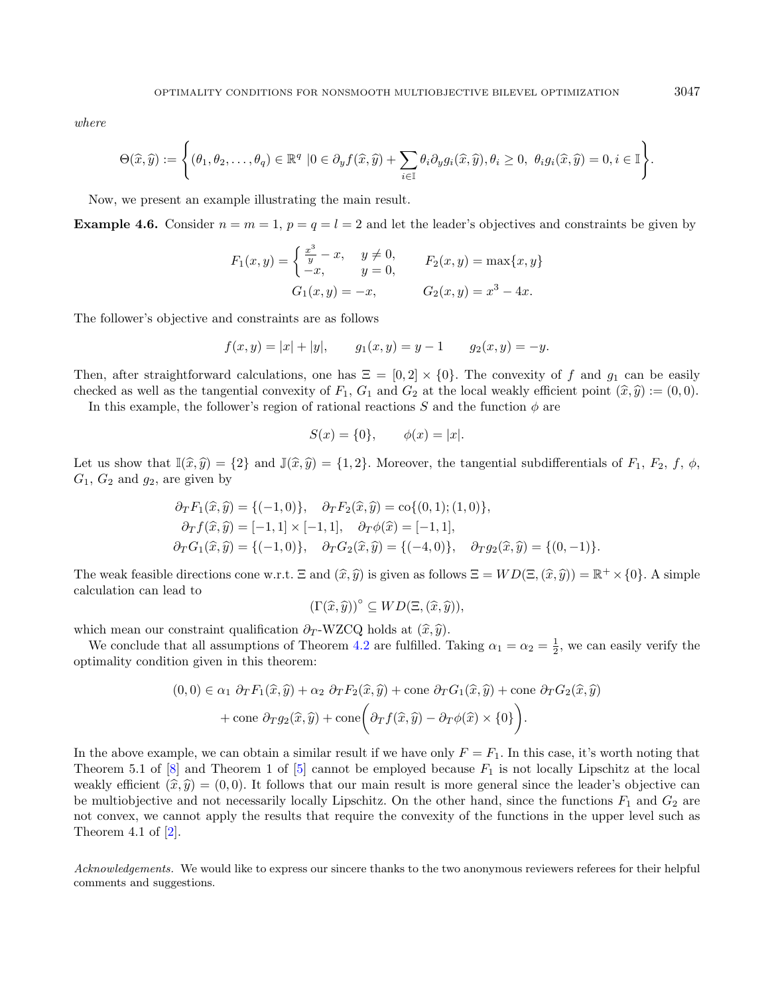where

$$
\Theta(\widehat{x},\widehat{y}) := \left\{(\theta_1,\theta_2,\ldots,\theta_q) \in \mathbb{R}^q \,\left|0\in\partial_y f(\widehat{x},\widehat{y}) + \sum_{i\in\mathbb{I}} \theta_i \partial_y g_i(\widehat{x},\widehat{y}), \theta_i \geq 0, \ \theta_i g_i(\widehat{x},\widehat{y}) = 0, i\in\mathbb{I}\right\}.
$$

Now, we present an example illustrating the main result.

**Example 4.6.** Consider  $n = m = 1$ ,  $p = q = l = 2$  and let the leader's objectives and constraints be given by

$$
F_1(x, y) = \begin{cases} \frac{x^3}{y} - x, & y \neq 0, \\ -x, & y = 0, \end{cases} \qquad F_2(x, y) = \max\{x, y\}
$$

$$
G_1(x, y) = -x, \qquad G_2(x, y) = x^3 - 4x.
$$

The follower's objective and constraints are as follows

$$
f(x, y) = |x| + |y|,
$$
  $g_1(x, y) = y - 1$   $g_2(x, y) = -y.$ 

Then, after straightforward calculations, one has  $\Xi = [0, 2] \times \{0\}$ . The convexity of f and  $g_1$  can be easily checked as well as the tangential convexity of  $F_1$ ,  $G_1$  and  $G_2$  at the local weakly efficient point  $(\hat{x}, \hat{y}) := (0, 0)$ .

In this example, the follower's region of rational reactions  $S$  and the function  $\phi$  are

$$
S(x) = \{0\}, \qquad \phi(x) = |x|.
$$

Let us show that  $\mathbb{I}(\hat{x}, \hat{y}) = \{2\}$  and  $\mathbb{J}(\hat{x}, \hat{y}) = \{1, 2\}$ . Moreover, the tangential subdifferentials of  $F_1$ ,  $F_2$ ,  $f$ ,  $\phi$ ,  $G_1$ ,  $G_2$  and  $g_2$ , are given by

$$
\partial_T F_1(\hat{x}, \hat{y}) = \{(-1, 0)\}, \quad \partial_T F_2(\hat{x}, \hat{y}) = \text{co}\{(0, 1); (1, 0)\}, \n\partial_T f(\hat{x}, \hat{y}) = [-1, 1] \times [-1, 1], \quad \partial_T \phi(\hat{x}) = [-1, 1], \n\partial_T G_1(\hat{x}, \hat{y}) = \{(-1, 0)\}, \quad \partial_T G_2(\hat{x}, \hat{y}) = \{(-4, 0)\}, \quad \partial_T g_2(\hat{x}, \hat{y}) = \{(0, -1)\}.
$$

The weak feasible directions cone w.r.t.  $\Xi$  and  $(\hat{x}, \hat{y})$  is given as follows  $\Xi = WD(\Xi, (\hat{x}, \hat{y})) = \mathbb{R}^+ \times \{0\}$ . A simple calculation can load to calculation can lead to

$$
(\Gamma(\widehat{x},\widehat{y}))^{\circ} \subseteq WD(\Xi,(\widehat{x},\widehat{y})),
$$

which mean our constraint qualification  $\partial_T$ -WZCQ holds at  $(\hat{x}, \hat{y})$ .

We conclude that all assumptions of Theorem [4.2](#page-3-4) are fulfilled. Taking  $\alpha_1 = \alpha_2 = \frac{1}{2}$ , we can easily verify the optimality condition given in this theorem:

$$
(0,0) \in \alpha_1 \partial_T F_1(\hat{x}, \hat{y}) + \alpha_2 \partial_T F_2(\hat{x}, \hat{y}) + \text{cone } \partial_T G_1(\hat{x}, \hat{y}) + \text{cone } \partial_T G_2(\hat{x}, \hat{y}) + \text{cone } \partial_T g_2(\hat{x}, \hat{y}) + \text{cone} \left( \partial_T f(\hat{x}, \hat{y}) - \partial_T \phi(\hat{x}) \times \{0\} \right).
$$

In the above example, we can obtain a similar result if we have only  $F = F_1$ . In this case, it's worth noting that Theorem 5.1 of  $[8]$  and Theorem 1 of  $[5]$  cannot be employed because  $F_1$  is not locally Lipschitz at the local weakly efficient  $(\hat{x}, \hat{y}) = (0, 0)$ . It follows that our main result is more general since the leader's objective can be multiobjective and not necessarily locally Lipschitz. On the other hand, since the functions  $F_1$  and  $G_2$  are not convex, we cannot apply the results that require the convexity of the functions in the upper level such as Theorem 4.1 of [\[2\]](#page-7-18).

Acknowledgements. We would like to express our sincere thanks to the two anonymous reviewers referees for their helpful comments and suggestions.